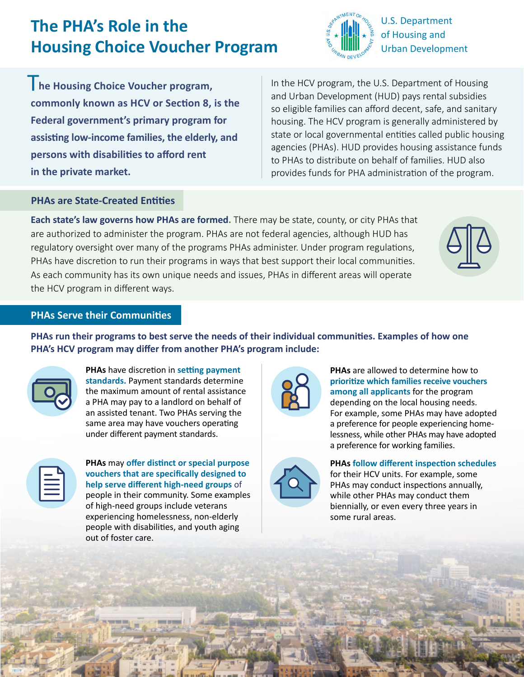# **The PHA's Role in the Housing Choice Voucher Program**



The Housing Choice Voucher program, **commonly known as HCV or Section 8, is the Federal government's primary program for assisting low-income families, the elderly, and persons with disabilities to afford rent in the private market.**

In the HCV program, the U.S. Department of Housing and Urban Development (HUD) pays rental subsidies so eligible families can afford decent, safe, and sanitary housing. The HCV program is generally administered by state or local governmental entities called public housing agencies (PHAs). HUD provides housing assistance funds to PHAs to distribute on behalf of families. HUD also provides funds for PHA administration of the program.

# **PHAs are State-Created Entities**

**Each state's law governs how PHAs are formed.** There may be state, county, or city PHAs that are authorized to administer the program. PHAs are not federal agencies, although HUD has regulatory oversight over many of the programs PHAs administer. Under program regulations, PHAs have discretion to run their programs in ways that best support their local communities. As each community has its own unique needs and issues, PHAs in different areas will operate the HCV program in different ways.



# **PHAs Serve their Communities**

**PHAs run their programs to best serve the needs of their individual communities. Examples of how one PHA's HCV program may differ from another PHA's program include:**



**PHAs** have discretion in **setting payment standards.** Payment standards determine the maximum amount of rental assistance a PHA may pay to a landlord on behalf of an assisted tenant. Two PHAs serving the same area may have vouchers operating under different payment standards.



**PHAs** may **offer distinct or special purpose vouchers that are specifically designed to help serve different high-need groups** of people in their community. Some examples of high-need groups include veterans experiencing homelessness, non-elderly people with disabilities, and youth aging out of foster care.



**PHAs** are allowed to determine how to **prioritize which families receive vouchers among all applicants** for the program depending on the local housing needs. For example, some PHAs may have adopted a preference for people experiencing homelessness, while other PHAs may have adopted a preference for working families.



**PHAs follow different inspection schedules** 

for their HCV units. For example, some PHAs may conduct inspections annually, while other PHAs may conduct them biennially, or even every three years in some rural areas.